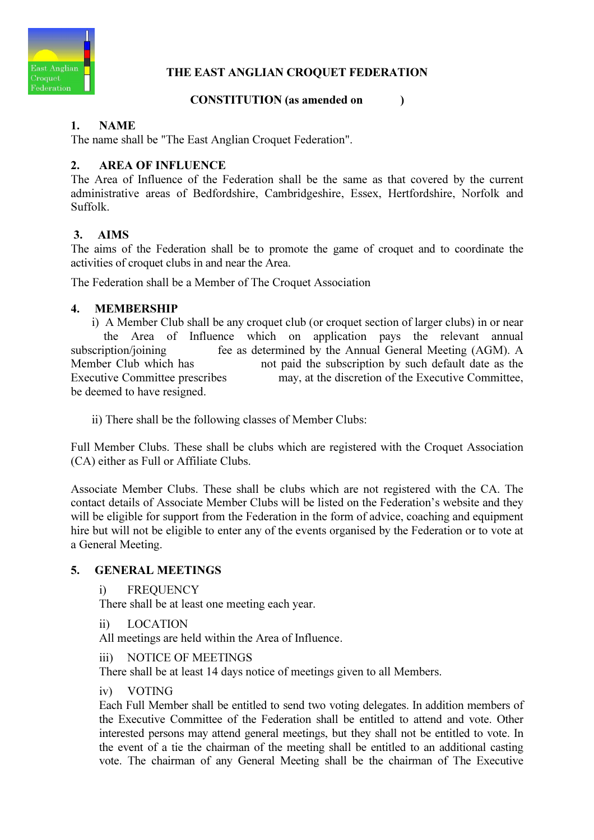

# THE EAST ANGLIAN CROQUET FEDERATION

# CONSTITUTION (as amended on )

# 1. NAME

The name shall be "The East Anglian Croquet Federation".

# 2. AREA OF INFLUENCE

The Area of Influence of the Federation shall be the same as that covered by the current administrative areas of Bedfordshire, Cambridgeshire, Essex, Hertfordshire, Norfolk and Suffolk.

# 3. AIMS

The aims of the Federation shall be to promote the game of croquet and to coordinate the activities of croquet clubs in and near the Area.

The Federation shall be a Member of The Croquet Association

### 4. MEMBERSHIP

 i) A Member Club shall be any croquet club (or croquet section of larger clubs) in or near the Area of Influence which on application pays the relevant annual subscription/joining fee as determined by the Annual General Meeting (AGM). A Member Club which has not paid the subscription by such default date as the Executive Committee prescribes may, at the discretion of the Executive Committee, be deemed to have resigned.

ii) There shall be the following classes of Member Clubs:

Full Member Clubs. These shall be clubs which are registered with the Croquet Association (CA) either as Full or Affiliate Clubs.

Associate Member Clubs. These shall be clubs which are not registered with the CA. The contact details of Associate Member Clubs will be listed on the Federation's website and they will be eligible for support from the Federation in the form of advice, coaching and equipment hire but will not be eligible to enter any of the events organised by the Federation or to vote at a General Meeting.

### 5. GENERAL MEETINGS

i) FREQUENCY

There shall be at least one meeting each year.

ii) LOCATION

All meetings are held within the Area of Influence.

iii) NOTICE OF MEETINGS

There shall be at least 14 days notice of meetings given to all Members.

#### iv) VOTING

 Each Full Member shall be entitled to send two voting delegates. In addition members of the Executive Committee of the Federation shall be entitled to attend and vote. Other interested persons may attend general meetings, but they shall not be entitled to vote. In the event of a tie the chairman of the meeting shall be entitled to an additional casting vote. The chairman of any General Meeting shall be the chairman of The Executive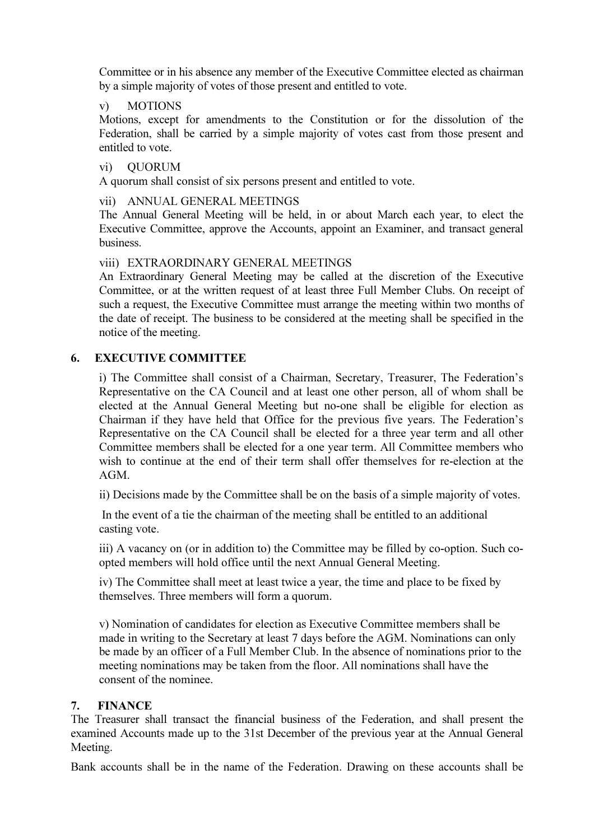Committee or in his absence any member of the Executive Committee elected as chairman by a simple majority of votes of those present and entitled to vote.

#### v) MOTIONS

 Motions, except for amendments to the Constitution or for the dissolution of the Federation, shall be carried by a simple majority of votes cast from those present and entitled to vote.

vi) QUORUM

A quorum shall consist of six persons present and entitled to vote.

vii) ANNUAL GENERAL MEETINGS

 The Annual General Meeting will be held, in or about March each year, to elect the Executive Committee, approve the Accounts, appoint an Examiner, and transact general business.

viii) EXTRAORDINARY GENERAL MEETINGS

 An Extraordinary General Meeting may be called at the discretion of the Executive Committee, or at the written request of at least three Full Member Clubs. On receipt of such a request, the Executive Committee must arrange the meeting within two months of the date of receipt. The business to be considered at the meeting shall be specified in the notice of the meeting.

### 6. EXECUTIVE COMMITTEE

i) The Committee shall consist of a Chairman, Secretary, Treasurer, The Federation's Representative on the CA Council and at least one other person, all of whom shall be elected at the Annual General Meeting but no-one shall be eligible for election as Chairman if they have held that Office for the previous five years. The Federation's Representative on the CA Council shall be elected for a three year term and all other Committee members shall be elected for a one year term. All Committee members who wish to continue at the end of their term shall offer themselves for re-election at the AGM.

ii) Decisions made by the Committee shall be on the basis of a simple majority of votes.

 In the event of a tie the chairman of the meeting shall be entitled to an additional casting vote.

iii) A vacancy on (or in addition to) the Committee may be filled by co-option. Such coopted members will hold office until the next Annual General Meeting.

iv) The Committee shall meet at least twice a year, the time and place to be fixed by themselves. Three members will form a quorum.

v) Nomination of candidates for election as Executive Committee members shall be made in writing to the Secretary at least 7 days before the AGM. Nominations can only be made by an officer of a Full Member Club. In the absence of nominations prior to the meeting nominations may be taken from the floor. All nominations shall have the consent of the nominee.

### 7. FINANCE

The Treasurer shall transact the financial business of the Federation, and shall present the examined Accounts made up to the 31st December of the previous year at the Annual General Meeting.

Bank accounts shall be in the name of the Federation. Drawing on these accounts shall be